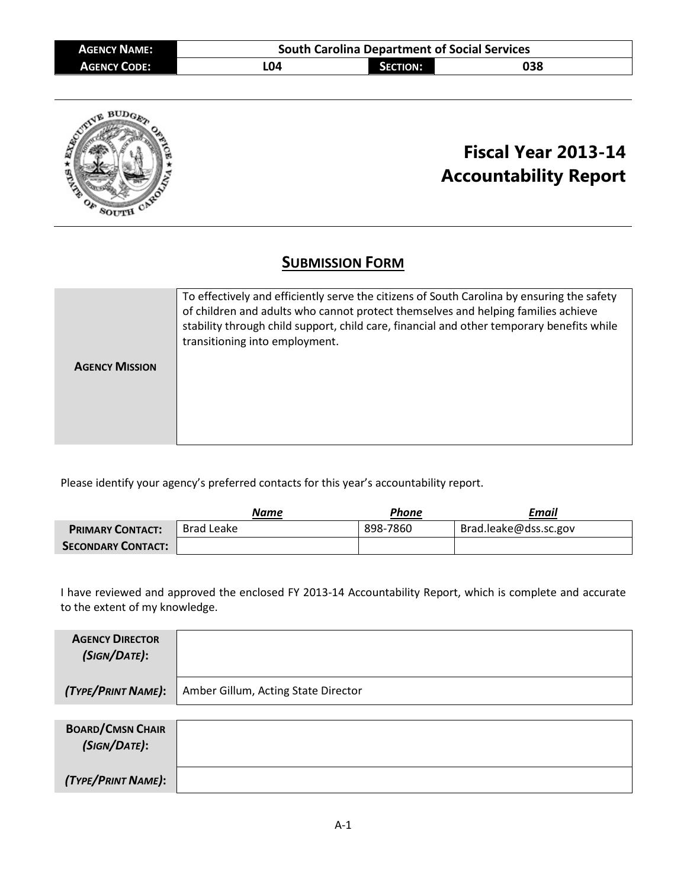| <b>AGENCY NAME:</b> | <b>South Carolina Department of Social Services</b> |                 |     |  |  |  |  |  |  |  |
|---------------------|-----------------------------------------------------|-----------------|-----|--|--|--|--|--|--|--|
| <b>AGENCY CODE:</b> | L04                                                 | <b>SECTION:</b> | 038 |  |  |  |  |  |  |  |



# **Fiscal Year 2013-14 Accountability Report**

# **SUBMISSION FORM**

|                       | To effectively and efficiently serve the citizens of South Carolina by ensuring the safety<br>of children and adults who cannot protect themselves and helping families achieve<br>stability through child support, child care, financial and other temporary benefits while<br>transitioning into employment. |
|-----------------------|----------------------------------------------------------------------------------------------------------------------------------------------------------------------------------------------------------------------------------------------------------------------------------------------------------------|
| <b>AGENCY MISSION</b> |                                                                                                                                                                                                                                                                                                                |
|                       |                                                                                                                                                                                                                                                                                                                |
|                       |                                                                                                                                                                                                                                                                                                                |
|                       |                                                                                                                                                                                                                                                                                                                |
|                       |                                                                                                                                                                                                                                                                                                                |

Please identify your agency's preferred contacts for this year's accountability report.

|                           | <b>Name</b>       | Phone    | Email                 |
|---------------------------|-------------------|----------|-----------------------|
| <b>PRIMARY CONTACT:</b>   | <b>Brad Leake</b> | 898-7860 | Brad.leake@dss.sc.gov |
| <b>SECONDARY CONTACT:</b> |                   |          |                       |

I have reviewed and approved the enclosed FY 2013-14 Accountability Report, which is complete and accurate to the extent of my knowledge.

| <b>AGENCY DIRECTOR</b><br>(SIGN/DATE):  |                                     |
|-----------------------------------------|-------------------------------------|
| (TYPE/PRINT NAME):                      | Amber Gillum, Acting State Director |
|                                         |                                     |
| <b>BOARD/CMSN CHAIR</b><br>(SIGN/DATE): |                                     |
| (TYPE/PRINT NAME):                      |                                     |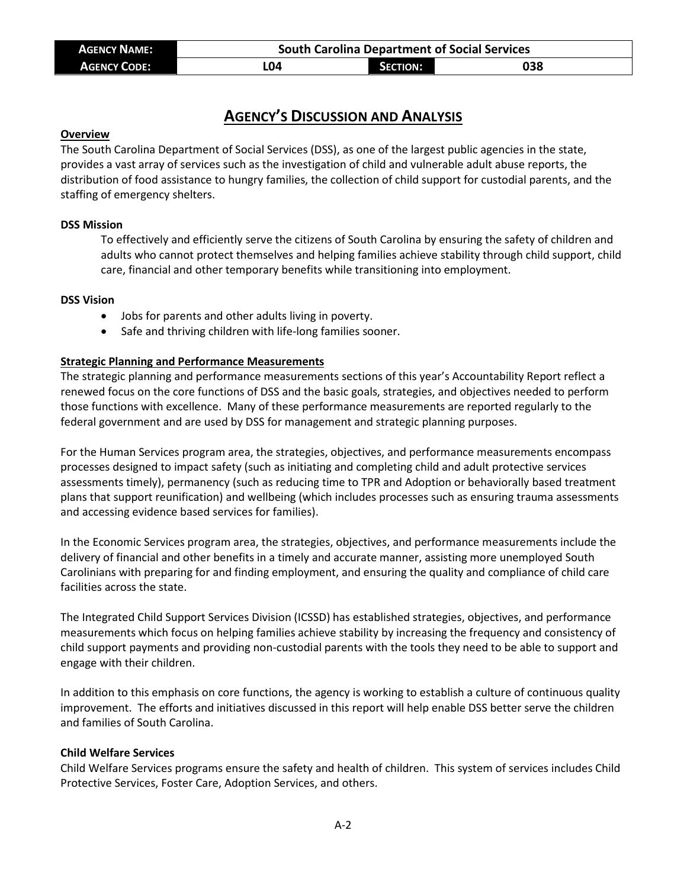| <b>AGENCY NAME:</b> | <b>South Carolina Department of Social Services</b> |                 |     |  |  |  |  |  |  |
|---------------------|-----------------------------------------------------|-----------------|-----|--|--|--|--|--|--|
| <b>AGENCY CODE:</b> | L04                                                 | <b>SECTION:</b> | 038 |  |  |  |  |  |  |

# **AGENCY'S DISCUSSION AND ANALYSIS**

#### **Overview**

The South Carolina Department of Social Services (DSS), as one of the largest public agencies in the state, provides a vast array of services such as the investigation of child and vulnerable adult abuse reports, the distribution of food assistance to hungry families, the collection of child support for custodial parents, and the staffing of emergency shelters.

### **DSS Mission**

To effectively and efficiently serve the citizens of South Carolina by ensuring the safety of children and adults who cannot protect themselves and helping families achieve stability through child support, child care, financial and other temporary benefits while transitioning into employment.

#### **DSS Vision**

- Jobs for parents and other adults living in poverty.
- Safe and thriving children with life-long families sooner.

### **Strategic Planning and Performance Measurements**

The strategic planning and performance measurements sections of this year's Accountability Report reflect a renewed focus on the core functions of DSS and the basic goals, strategies, and objectives needed to perform those functions with excellence. Many of these performance measurements are reported regularly to the federal government and are used by DSS for management and strategic planning purposes.

For the Human Services program area, the strategies, objectives, and performance measurements encompass processes designed to impact safety (such as initiating and completing child and adult protective services assessments timely), permanency (such as reducing time to TPR and Adoption or behaviorally based treatment plans that support reunification) and wellbeing (which includes processes such as ensuring trauma assessments and accessing evidence based services for families).

In the Economic Services program area, the strategies, objectives, and performance measurements include the delivery of financial and other benefits in a timely and accurate manner, assisting more unemployed South Carolinians with preparing for and finding employment, and ensuring the quality and compliance of child care facilities across the state.

The Integrated Child Support Services Division (ICSSD) has established strategies, objectives, and performance measurements which focus on helping families achieve stability by increasing the frequency and consistency of child support payments and providing non-custodial parents with the tools they need to be able to support and engage with their children.

In addition to this emphasis on core functions, the agency is working to establish a culture of continuous quality improvement. The efforts and initiatives discussed in this report will help enable DSS better serve the children and families of South Carolina.

### **Child Welfare Services**

Child Welfare Services programs ensure the safety and health of children. This system of services includes Child Protective Services, Foster Care, Adoption Services, and others.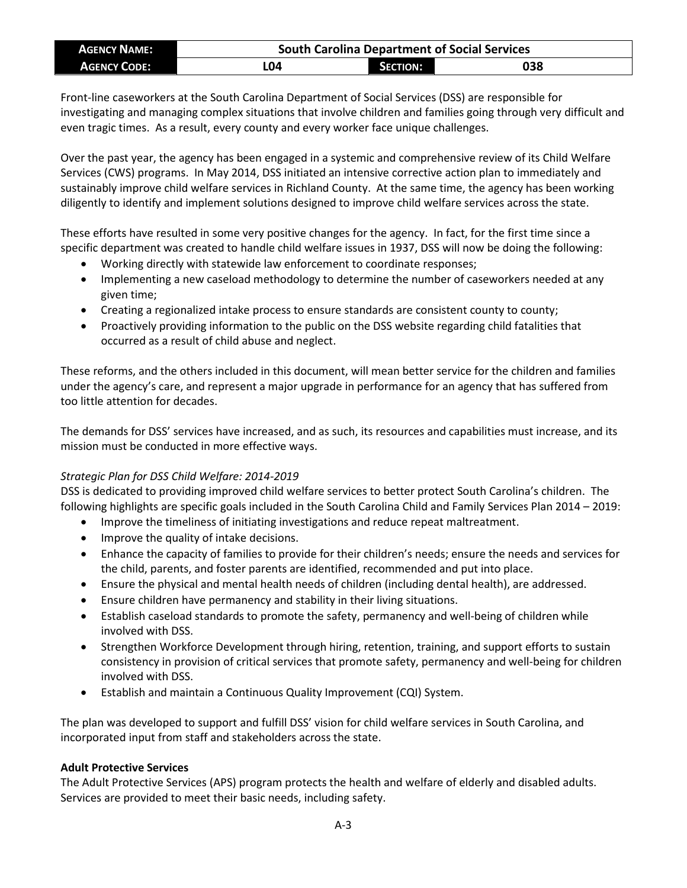| <b>AGENCY NAME:</b> | <b>South Carolina Department of Social Services</b> |                 |     |  |  |  |  |  |  |
|---------------------|-----------------------------------------------------|-----------------|-----|--|--|--|--|--|--|
| <b>AGENCY CODE:</b> | L04                                                 | <b>SECTION:</b> | 038 |  |  |  |  |  |  |

Front-line caseworkers at the South Carolina Department of Social Services (DSS) are responsible for investigating and managing complex situations that involve children and families going through very difficult and even tragic times. As a result, every county and every worker face unique challenges.

Over the past year, the agency has been engaged in a systemic and comprehensive review of its Child Welfare Services (CWS) programs. In May 2014, DSS initiated an intensive corrective action plan to immediately and sustainably improve child welfare services in Richland County. At the same time, the agency has been working diligently to identify and implement solutions designed to improve child welfare services across the state.

These efforts have resulted in some very positive changes for the agency. In fact, for the first time since a specific department was created to handle child welfare issues in 1937, DSS will now be doing the following:

- Working directly with statewide law enforcement to coordinate responses;
- Implementing a new caseload methodology to determine the number of caseworkers needed at any given time;
- Creating a regionalized intake process to ensure standards are consistent county to county;
- Proactively providing information to the public on the DSS website regarding child fatalities that occurred as a result of child abuse and neglect.

These reforms, and the others included in this document, will mean better service for the children and families under the agency's care, and represent a major upgrade in performance for an agency that has suffered from too little attention for decades.

The demands for DSS' services have increased, and as such, its resources and capabilities must increase, and its mission must be conducted in more effective ways.

# *Strategic Plan for DSS Child Welfare: 2014-2019*

DSS is dedicated to providing improved child welfare services to better protect South Carolina's children. The following highlights are specific goals included in the South Carolina Child and Family Services Plan 2014 – 2019:

- Improve the timeliness of initiating investigations and reduce repeat maltreatment.
- Improve the quality of intake decisions.
- Enhance the capacity of families to provide for their children's needs; ensure the needs and services for the child, parents, and foster parents are identified, recommended and put into place.
- Ensure the physical and mental health needs of children (including dental health), are addressed.
- Ensure children have permanency and stability in their living situations.
- Establish caseload standards to promote the safety, permanency and well-being of children while involved with DSS.
- Strengthen Workforce Development through hiring, retention, training, and support efforts to sustain consistency in provision of critical services that promote safety, permanency and well-being for children involved with DSS.
- Establish and maintain a Continuous Quality Improvement (CQI) System.

The plan was developed to support and fulfill DSS' vision for child welfare services in South Carolina, and incorporated input from staff and stakeholders across the state.

# **Adult Protective Services**

The Adult Protective Services (APS) program protects the health and welfare of elderly and disabled adults. Services are provided to meet their basic needs, including safety.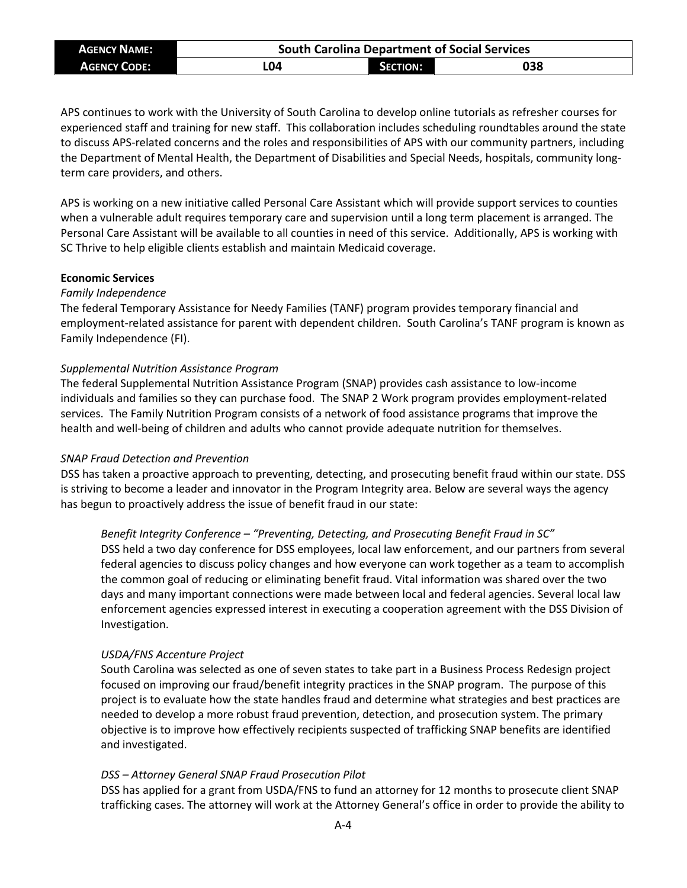| <b>AGENCY NAME:</b> | <b>South Carolina Department of Social Services</b> |                 |     |  |  |  |  |  |  |  |
|---------------------|-----------------------------------------------------|-----------------|-----|--|--|--|--|--|--|--|
| <b>AGENCY CODE:</b> | L04                                                 | <b>SECTION:</b> | 038 |  |  |  |  |  |  |  |

APS continues to work with the University of South Carolina to develop online tutorials as refresher courses for experienced staff and training for new staff. This collaboration includes scheduling roundtables around the state to discuss APS-related concerns and the roles and responsibilities of APS with our community partners, including the Department of Mental Health, the Department of Disabilities and Special Needs, hospitals, community longterm care providers, and others.

APS is working on a new initiative called Personal Care Assistant which will provide support services to counties when a vulnerable adult requires temporary care and supervision until a long term placement is arranged. The Personal Care Assistant will be available to all counties in need of this service. Additionally, APS is working with SC Thrive to help eligible clients establish and maintain Medicaid coverage.

### **Economic Services**

#### *Family Independence*

The federal Temporary Assistance for Needy Families (TANF) program provides temporary financial and employment-related assistance for parent with dependent children. South Carolina's TANF program is known as Family Independence (FI).

#### *Supplemental Nutrition Assistance Program*

The federal Supplemental Nutrition Assistance Program (SNAP) provides cash assistance to low-income individuals and families so they can purchase food. The SNAP 2 Work program provides employment-related services. The Family Nutrition Program consists of a network of food assistance programs that improve the health and well-being of children and adults who cannot provide adequate nutrition for themselves.

### *SNAP Fraud Detection and Prevention*

DSS has taken a proactive approach to preventing, detecting, and prosecuting benefit fraud within our state. DSS is striving to become a leader and innovator in the Program Integrity area. Below are several ways the agency has begun to proactively address the issue of benefit fraud in our state:

#### *Benefit Integrity Conference – "Preventing, Detecting, and Prosecuting Benefit Fraud in SC"*

DSS held a two day conference for DSS employees, local law enforcement, and our partners from several federal agencies to discuss policy changes and how everyone can work together as a team to accomplish the common goal of reducing or eliminating benefit fraud. Vital information was shared over the two days and many important connections were made between local and federal agencies. Several local law enforcement agencies expressed interest in executing a cooperation agreement with the DSS Division of Investigation.

#### *USDA/FNS Accenture Project*

South Carolina was selected as one of seven states to take part in a Business Process Redesign project focused on improving our fraud/benefit integrity practices in the SNAP program. The purpose of this project is to evaluate how the state handles fraud and determine what strategies and best practices are needed to develop a more robust fraud prevention, detection, and prosecution system. The primary objective is to improve how effectively recipients suspected of trafficking SNAP benefits are identified and investigated.

### *DSS – Attorney General SNAP Fraud Prosecution Pilot*

DSS has applied for a grant from USDA/FNS to fund an attorney for 12 months to prosecute client SNAP trafficking cases. The attorney will work at the Attorney General's office in order to provide the ability to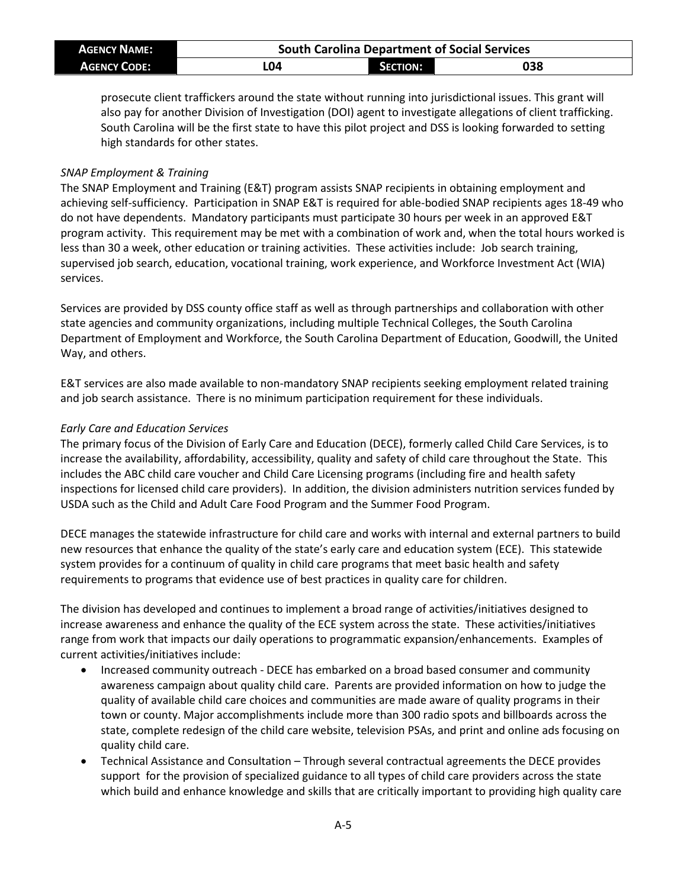| <b>AGENCY NAME:</b> | <b>South Carolina Department of Social Services</b> |                 |     |  |  |  |  |  |  |  |
|---------------------|-----------------------------------------------------|-----------------|-----|--|--|--|--|--|--|--|
| <b>AGENCY CODE:</b> | L04                                                 | <b>SECTION:</b> | 038 |  |  |  |  |  |  |  |

prosecute client traffickers around the state without running into jurisdictional issues. This grant will also pay for another Division of Investigation (DOI) agent to investigate allegations of client trafficking. South Carolina will be the first state to have this pilot project and DSS is looking forwarded to setting high standards for other states.

### *SNAP Employment & Training*

The SNAP Employment and Training (E&T) program assists SNAP recipients in obtaining employment and achieving self-sufficiency. Participation in SNAP E&T is required for able-bodied SNAP recipients ages 18-49 who do not have dependents. Mandatory participants must participate 30 hours per week in an approved E&T program activity. This requirement may be met with a combination of work and, when the total hours worked is less than 30 a week, other education or training activities. These activities include: Job search training, supervised job search, education, vocational training, work experience, and Workforce Investment Act (WIA) services.

Services are provided by DSS county office staff as well as through partnerships and collaboration with other state agencies and community organizations, including multiple Technical Colleges, the South Carolina Department of Employment and Workforce, the South Carolina Department of Education, Goodwill, the United Way, and others.

E&T services are also made available to non-mandatory SNAP recipients seeking employment related training and job search assistance. There is no minimum participation requirement for these individuals.

# *Early Care and Education Services*

The primary focus of the Division of Early Care and Education (DECE), formerly called Child Care Services, is to increase the availability, affordability, accessibility, quality and safety of child care throughout the State. This includes the ABC child care voucher and Child Care Licensing programs (including fire and health safety inspections for licensed child care providers). In addition, the division administers nutrition services funded by USDA such as the Child and Adult Care Food Program and the Summer Food Program.

DECE manages the statewide infrastructure for child care and works with internal and external partners to build new resources that enhance the quality of the state's early care and education system (ECE). This statewide system provides for a continuum of quality in child care programs that meet basic health and safety requirements to programs that evidence use of best practices in quality care for children.

The division has developed and continues to implement a broad range of activities/initiatives designed to increase awareness and enhance the quality of the ECE system across the state. These activities/initiatives range from work that impacts our daily operations to programmatic expansion/enhancements. Examples of current activities/initiatives include:

- Increased community outreach DECE has embarked on a broad based consumer and community awareness campaign about quality child care. Parents are provided information on how to judge the quality of available child care choices and communities are made aware of quality programs in their town or county. Major accomplishments include more than 300 radio spots and billboards across the state, complete redesign of the child care website, television PSAs, and print and online ads focusing on quality child care.
- Technical Assistance and Consultation Through several contractual agreements the DECE provides support for the provision of specialized guidance to all types of child care providers across the state which build and enhance knowledge and skills that are critically important to providing high quality care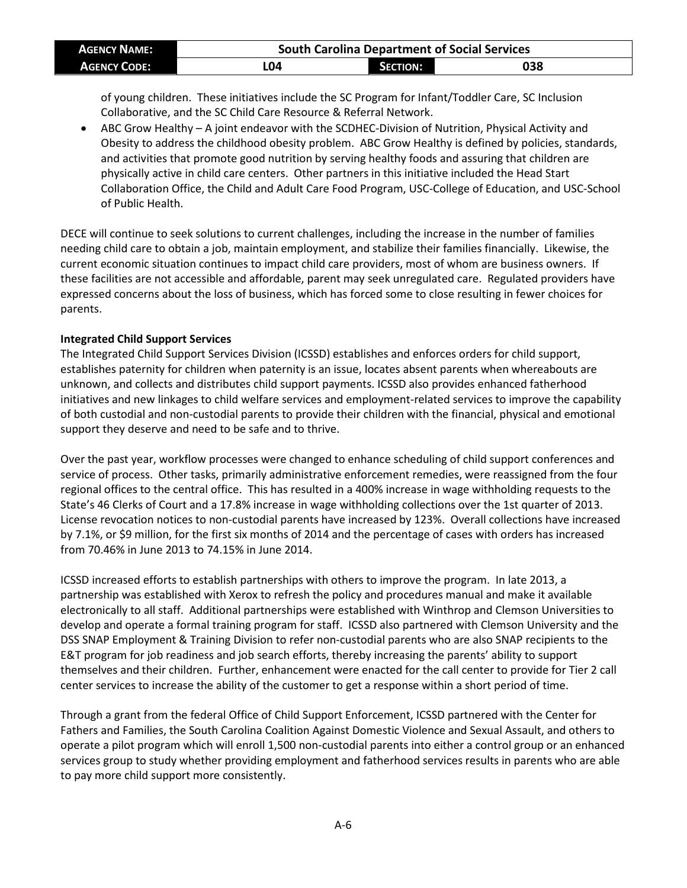| <b>AGENCY NAME:</b> | <b>South Carolina Department of Social Services</b> |                 |     |  |  |  |  |  |  |  |
|---------------------|-----------------------------------------------------|-----------------|-----|--|--|--|--|--|--|--|
| <b>AGENCY CODE:</b> | LO4                                                 | <b>SECTION:</b> | 038 |  |  |  |  |  |  |  |

of young children. These initiatives include the SC Program for Infant/Toddler Care, SC Inclusion Collaborative, and the SC Child Care Resource & Referral Network.

• ABC Grow Healthy – A joint endeavor with the SCDHEC-Division of Nutrition, Physical Activity and Obesity to address the childhood obesity problem. ABC Grow Healthy is defined by policies, standards, and activities that promote good nutrition by serving healthy foods and assuring that children are physically active in child care centers. Other partners in this initiative included the Head Start Collaboration Office, the Child and Adult Care Food Program, USC-College of Education, and USC-School of Public Health.

DECE will continue to seek solutions to current challenges, including the increase in the number of families needing child care to obtain a job, maintain employment, and stabilize their families financially. Likewise, the current economic situation continues to impact child care providers, most of whom are business owners. If these facilities are not accessible and affordable, parent may seek unregulated care. Regulated providers have expressed concerns about the loss of business, which has forced some to close resulting in fewer choices for parents.

# **Integrated Child Support Services**

The Integrated Child Support Services Division (ICSSD) establishes and enforces orders for child support, establishes paternity for children when paternity is an issue, locates absent parents when whereabouts are unknown, and collects and distributes child support payments. ICSSD also provides enhanced fatherhood initiatives and new linkages to child welfare services and employment-related services to improve the capability of both custodial and non-custodial parents to provide their children with the financial, physical and emotional support they deserve and need to be safe and to thrive.

Over the past year, workflow processes were changed to enhance scheduling of child support conferences and service of process. Other tasks, primarily administrative enforcement remedies, were reassigned from the four regional offices to the central office. This has resulted in a 400% increase in wage withholding requests to the State's 46 Clerks of Court and a 17.8% increase in wage withholding collections over the 1st quarter of 2013. License revocation notices to non-custodial parents have increased by 123%. Overall collections have increased by 7.1%, or \$9 million, for the first six months of 2014 and the percentage of cases with orders has increased from 70.46% in June 2013 to 74.15% in June 2014.

ICSSD increased efforts to establish partnerships with others to improve the program. In late 2013, a partnership was established with Xerox to refresh the policy and procedures manual and make it available electronically to all staff. Additional partnerships were established with Winthrop and Clemson Universities to develop and operate a formal training program for staff. ICSSD also partnered with Clemson University and the DSS SNAP Employment & Training Division to refer non-custodial parents who are also SNAP recipients to the E&T program for job readiness and job search efforts, thereby increasing the parents' ability to support themselves and their children. Further, enhancement were enacted for the call center to provide for Tier 2 call center services to increase the ability of the customer to get a response within a short period of time.

Through a grant from the federal Office of Child Support Enforcement, ICSSD partnered with the Center for Fathers and Families, the South Carolina Coalition Against Domestic Violence and Sexual Assault, and others to operate a pilot program which will enroll 1,500 non-custodial parents into either a control group or an enhanced services group to study whether providing employment and fatherhood services results in parents who are able to pay more child support more consistently.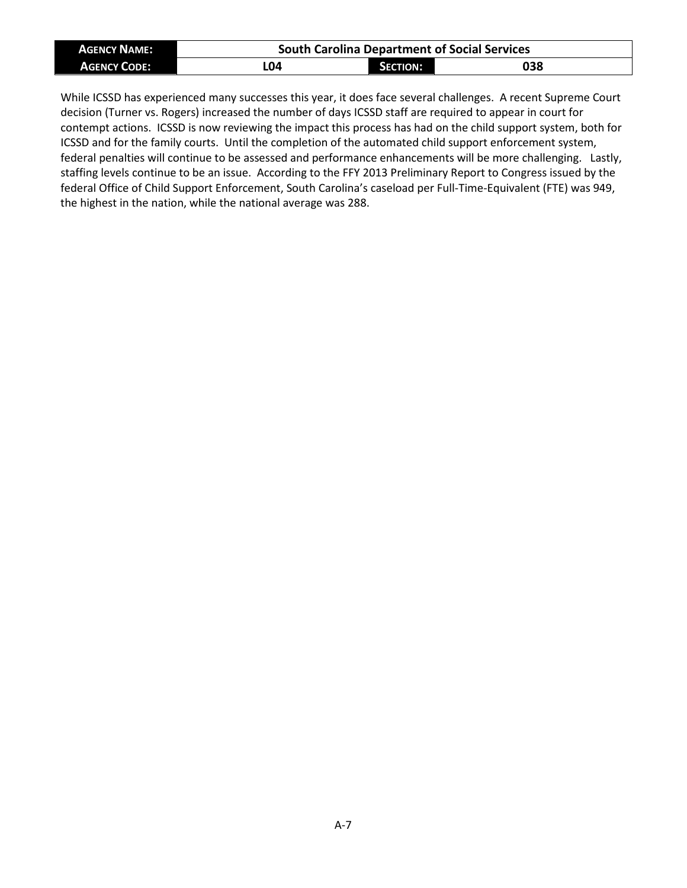| <b>AGENCY NAME:</b> | <b>South Carolina Department of Social Services</b> |                 |     |  |  |  |  |  |  |
|---------------------|-----------------------------------------------------|-----------------|-----|--|--|--|--|--|--|
| <b>AGENCY CODE:</b> | L04                                                 | <b>SECTION:</b> | 038 |  |  |  |  |  |  |

While ICSSD has experienced many successes this year, it does face several challenges. A recent Supreme Court decision (Turner vs. Rogers) increased the number of days ICSSD staff are required to appear in court for contempt actions. ICSSD is now reviewing the impact this process has had on the child support system, both for ICSSD and for the family courts. Until the completion of the automated child support enforcement system, federal penalties will continue to be assessed and performance enhancements will be more challenging. Lastly, staffing levels continue to be an issue. According to the FFY 2013 Preliminary Report to Congress issued by the federal Office of Child Support Enforcement, South Carolina's caseload per Full-Time-Equivalent (FTE) was 949, the highest in the nation, while the national average was 288.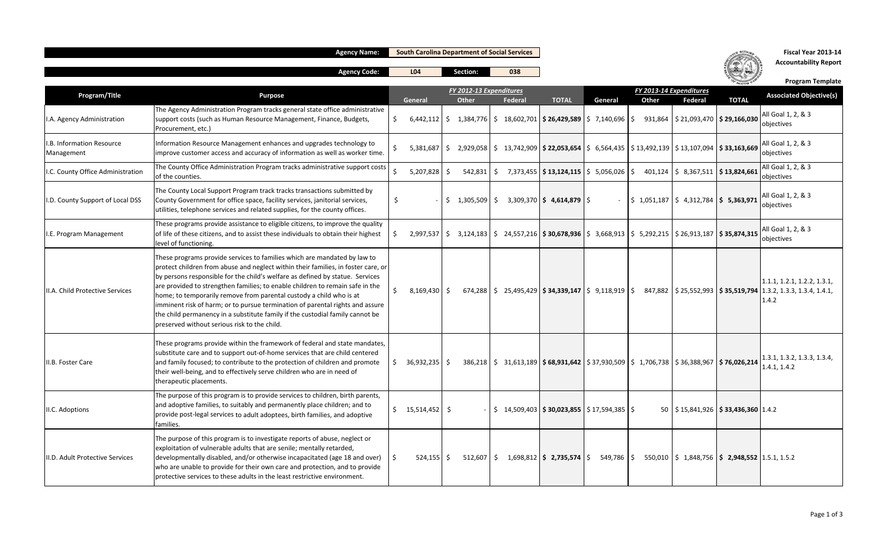|                                         | <b>Agency Name:</b>                                                                                                                                                                                                                                                                                                                                                                                                                                                                                                                                                                                                      |               | <b>South Carolina Department of Social Services</b> |                                         |         |                                                                                                                                                        |         |       |                                                                              | Fiscal Year 2013-14          |                                                                                                                                                                       |
|-----------------------------------------|--------------------------------------------------------------------------------------------------------------------------------------------------------------------------------------------------------------------------------------------------------------------------------------------------------------------------------------------------------------------------------------------------------------------------------------------------------------------------------------------------------------------------------------------------------------------------------------------------------------------------|---------------|-----------------------------------------------------|-----------------------------------------|---------|--------------------------------------------------------------------------------------------------------------------------------------------------------|---------|-------|------------------------------------------------------------------------------|------------------------------|-----------------------------------------------------------------------------------------------------------------------------------------------------------------------|
|                                         | <b>Agency Code:</b>                                                                                                                                                                                                                                                                                                                                                                                                                                                                                                                                                                                                      |               | L <sub>04</sub>                                     | Section:                                | 038     |                                                                                                                                                        |         |       |                                                                              | <b>Accountability Report</b> |                                                                                                                                                                       |
|                                         |                                                                                                                                                                                                                                                                                                                                                                                                                                                                                                                                                                                                                          |               |                                                     |                                         |         |                                                                                                                                                        |         |       |                                                                              |                              | <b>Program Template</b>                                                                                                                                               |
| Program/Title                           | <b>Purpose</b>                                                                                                                                                                                                                                                                                                                                                                                                                                                                                                                                                                                                           |               | General                                             | FY 2012-13 Expenditures<br><b>Other</b> | Federal | <b>TOTAL</b>                                                                                                                                           | General | Other | FY 2013-14 Expenditures<br><b>Federal</b>                                    | <b>TOTAL</b>                 | <b>Associated Objective(s)</b>                                                                                                                                        |
| I.A. Agency Administration              | The Agency Administration Program tracks general state office administrative<br>support costs (such as Human Resource Management, Finance, Budgets,<br>Procurement, etc.)                                                                                                                                                                                                                                                                                                                                                                                                                                                | Ŝ.            | $6,442,112$ \$                                      |                                         |         | $1,384,776$   \$ $18,602,701$   <b>\$ 26,429,589</b>   \$ 7,140,696   \$                                                                               |         |       | $931,864$ $\binom{5}{21,093,470}$ \$ 29,166,030                              |                              | All Goal 1, 2, & 3<br>objectives                                                                                                                                      |
| I.B. Information Resource<br>Management | Information Resource Management enhances and upgrades technology to<br>improve customer access and accuracy of information as well as worker time.                                                                                                                                                                                                                                                                                                                                                                                                                                                                       |               | 5,381,687                                           | l \$                                    |         | $2,929,058$ $\mid$ \$ 13,742,909 $\mid$ <b>\$ 22,053,654</b> $\mid$ \$ 6,564,435 $\mid$ \$ 13,492,139 $\mid$ \$ 13,107,094 $\mid$ <b>\$ 33,163,669</b> |         |       |                                                                              |                              | All Goal 1, 2, & 3<br>objectives                                                                                                                                      |
| I.C. County Office Administration       | The County Office Administration Program tracks administrative support costs<br>of the counties.                                                                                                                                                                                                                                                                                                                                                                                                                                                                                                                         | $\mathcal{S}$ | 5,207,828                                           | 542,831<br>\$                           |         | $\frac{1}{2}$ 7,373,455 $\frac{1}{2}$ 13,124,115 $\frac{1}{2}$ 5,056,026 $\frac{1}{2}$ 401,124 $\frac{1}{2}$ 8,367,511 $\frac{1}{2}$ 13,824,661        |         |       |                                                                              |                              | All Goal 1, 2, & 3<br>objectives                                                                                                                                      |
| I.D. County Support of Local DSS        | The County Local Support Program track tracks transactions submitted by<br>County Government for office space, facility services, janitorial services,<br>utilities, telephone services and related supplies, for the county offices.                                                                                                                                                                                                                                                                                                                                                                                    | \$            |                                                     |                                         |         |                                                                                                                                                        |         |       | $\frac{1}{2}$ 1,051,187 $\frac{1}{2}$ 4,312,784 $\frac{1}{2}$ 5,363,971      |                              | All Goal 1, 2, & 3<br>objectives                                                                                                                                      |
| I.E. Program Management                 | These programs provide assistance to eligible citizens, to improve the quality<br>of life of these citizens, and to assist these individuals to obtain their highest<br>level of functioning.                                                                                                                                                                                                                                                                                                                                                                                                                            | Ŝ.            |                                                     |                                         |         | 2,997,537 \$ 3,124,183 \$ 24,557,216 \$ 30,678,936 \$ 3,668,913 \$ 5,292,215 \$ 26,913,187 \$ 35,874,315                                               |         |       |                                                                              |                              | All Goal 1, 2, & 3<br>objectives                                                                                                                                      |
| II.A. Child Protective Services         | These programs provide services to families which are mandated by law to<br>protect children from abuse and neglect within their families, in foster care, or<br>by persons responsible for the child's welfare as defined by statue. Services<br>are provided to strengthen families; to enable children to remain safe in the<br>home; to temporarily remove from parental custody a child who is at<br>imminent risk of harm; or to pursue termination of parental rights and assure<br>the child permanency in a substitute family if the custodial family cannot be<br>preserved without serious risk to the child. | S.            | $8,169,430$ \$                                      |                                         |         |                                                                                                                                                        |         |       |                                                                              |                              | 1.1.1, 1.2.1, 1.2.2, 1.3.1,<br>$674,288$   \$25,495,429   \$34,339,147   \$9,118,919   \$847,882   \$25,552,993   \$35,519,794   1.3.2, 1.3.3, 1.3.4, 1.4.1,<br>1.4.2 |
| II.B. Foster Care                       | These programs provide within the framework of federal and state mandates,<br>substitute care and to support out-of-home services that are child centered<br>and family focused; to contribute to the protection of children and promote<br>their well-being, and to effectively serve children who are in need of<br>therapeutic placements.                                                                                                                                                                                                                                                                            |               | \$36,932,235                                        |                                         |         | $386,218$   \$ $31,613,189$   \$ 68,931,642   \$ 37,930,509   \$ 1,706,738   \$ 36,388,967   \$ 76,026,214                                             |         |       |                                                                              |                              | 1.3.1, 1.3.2, 1.3.3, 1.3.4,<br>1.4.1, 1.4.2                                                                                                                           |
| II.C. Adoptions                         | The purpose of this program is to provide services to children, birth parents,<br>and adoptive families, to suitably and permanently place children; and to<br>provide post-legal services to adult adoptees, birth families, and adoptive<br>families.                                                                                                                                                                                                                                                                                                                                                                  |               | $\frac{1}{2}$ 15,514,452 \$                         |                                         |         | $\frac{1}{2}$ 14,509,403   <b>\$30,023,855</b>   \$17,594,385   \$                                                                                     |         |       | 50 $\frac{1}{2}$ \$15,841,926 $\frac{1}{2}$ \$33,436,360 1.4.2               |                              |                                                                                                                                                                       |
| II.D. Adult Protective Services         | The purpose of this program is to investigate reports of abuse, neglect or<br>exploitation of vulnerable adults that are senile; mentally retarded,<br>developmentally disabled, and/or otherwise incapacitated (age 18 and over)<br>who are unable to provide for their own care and protection, and to provide<br>protective services to these adults in the least restrictive environment.                                                                                                                                                                                                                            |               | $524,155$ \$                                        | 512,607                                 |         | $\frac{1}{5}$ 1,698,812 $\frac{1}{5}$ 2,735,574 $\frac{1}{5}$                                                                                          |         |       | $549,786$   \$ $550,010$   \$ 1,848,756   <b>\$ 2,948,552</b>   1.5.1, 1.5.2 |                              |                                                                                                                                                                       |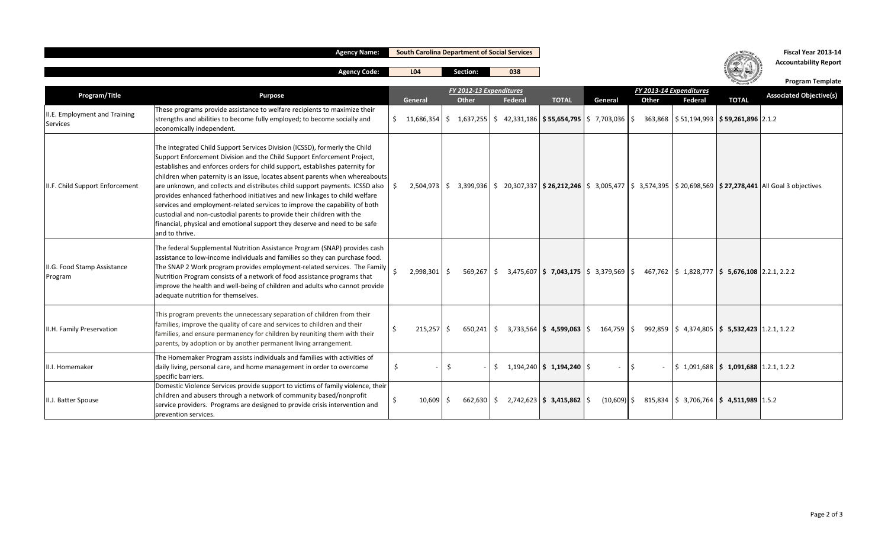|                                           | <b>Agency Name:</b>                                                                                                                                                                                                                                                                                                                                                                                                                                                                                                                                                                                                                                                                                                                         |     |                                                        | <b>South Carolina Department of Social Services</b> |                                                             |    |         |                                                                                                                                                                                 |                                                           |             | Fiscal Year 2013-14                                         |                                                              |                                                                                                                                                              |
|-------------------------------------------|---------------------------------------------------------------------------------------------------------------------------------------------------------------------------------------------------------------------------------------------------------------------------------------------------------------------------------------------------------------------------------------------------------------------------------------------------------------------------------------------------------------------------------------------------------------------------------------------------------------------------------------------------------------------------------------------------------------------------------------------|-----|--------------------------------------------------------|-----------------------------------------------------|-------------------------------------------------------------|----|---------|---------------------------------------------------------------------------------------------------------------------------------------------------------------------------------|-----------------------------------------------------------|-------------|-------------------------------------------------------------|--------------------------------------------------------------|--------------------------------------------------------------------------------------------------------------------------------------------------------------|
|                                           | <b>Agency Code:</b>                                                                                                                                                                                                                                                                                                                                                                                                                                                                                                                                                                                                                                                                                                                         |     | L <sub>04</sub>                                        |                                                     | Section:                                                    |    | 038     |                                                                                                                                                                                 |                                                           |             |                                                             |                                                              | <b>Accountability Report</b>                                                                                                                                 |
| Program/Title                             | <b>Purpose</b>                                                                                                                                                                                                                                                                                                                                                                                                                                                                                                                                                                                                                                                                                                                              |     | FY 2012-13 Expenditures<br>Other<br>Federal<br>General |                                                     | FY 2013-14 Expenditures<br><b>TOTAL</b><br>Other<br>General |    | Federal | <b>TOTAL</b>                                                                                                                                                                    | <b>Program Template</b><br><b>Associated Objective(s)</b> |             |                                                             |                                                              |                                                                                                                                                              |
| II.E. Employment and Training<br>Services | These programs provide assistance to welfare recipients to maximize their<br>strengths and abilities to become fully employed; to become socially and<br>economically independent.                                                                                                                                                                                                                                                                                                                                                                                                                                                                                                                                                          |     | \$11,686,354                                           |                                                     |                                                             |    |         | $\frac{1}{2}$ 1,637,255 $\frac{1}{2}$ 42,331,186 $\frac{1}{2}$ 55,654,795 $\frac{1}{2}$ 7,703,036 $\frac{1}{2}$ 363,868 $\frac{1}{2}$ 51,194,993 $\frac{1}{2}$ 59,261,896 2.1.2 |                                                           |             |                                                             |                                                              |                                                                                                                                                              |
| II.F. Child Support Enforcement           | The Integrated Child Support Services Division (ICSSD), formerly the Child<br>Support Enforcement Division and the Child Support Enforcement Project,<br>establishes and enforces orders for child support, establishes paternity for<br>children when paternity is an issue, locates absent parents when whereabouts<br>are unknown, and collects and distributes child support payments. ICSSD also<br>provides enhanced fatherhood initiatives and new linkages to child welfare<br>services and employment-related services to improve the capability of both<br>custodial and non-custodial parents to provide their children with the<br>financial, physical and emotional support they deserve and need to be safe<br>and to thrive. |     |                                                        |                                                     |                                                             |    |         |                                                                                                                                                                                 |                                                           |             |                                                             |                                                              | 2,504,973   \$ 3,399,936   \$ 20,307,337   <b>\$ 26,212,246</b>   \$ 3,005,477   \$ 3,574,395   \$ 20,698,569   <b>\$ 27,278,441</b>   All Goal 3 objectives |
| II.G. Food Stamp Assistance<br>Program    | The federal Supplemental Nutrition Assistance Program (SNAP) provides cash<br>assistance to low-income individuals and families so they can purchase food.<br>The SNAP 2 Work program provides employment-related services. The Family<br>Nutrition Program consists of a network of food assistance programs that<br>improve the health and well-being of children and adults who cannot provide<br>adequate nutrition for themselves.                                                                                                                                                                                                                                                                                                     |     | 2,998,301                                              | Ŝ.                                                  |                                                             |    |         | 569,267   \$ 3,475,607   \$ 7,043,175   \$ 3,379,569   \$ 467,762   \$ 1,828,777   \$ 5,676,108   2.2.1, 2.2.2                                                                  |                                                           |             |                                                             |                                                              |                                                                                                                                                              |
| II.H. Family Preservation                 | This program prevents the unnecessary separation of children from their<br>families, improve the quality of care and services to children and their<br>families, and ensure permanency for children by reuniting them with their<br>parents, by adoption or by another permanent living arrangement.                                                                                                                                                                                                                                                                                                                                                                                                                                        | Ŝ.  | 215,257                                                | \$                                                  |                                                             |    |         | 650,241 \, \$ 3,733,564 \, \$ 4,599,063 \, \$ 164,759 \, \$ 992,859 \, \$ 4,374,805 \, \$ 5,532,423 \, 1.2.1 1.2.2                                                              |                                                           |             |                                                             |                                                              |                                                                                                                                                              |
| II.I. Homemaker                           | The Homemaker Program assists individuals and families with activities of<br>daily living, personal care, and home management in order to overcome<br>specific barriers.                                                                                                                                                                                                                                                                                                                                                                                                                                                                                                                                                                    | \$. |                                                        | \$                                                  |                                                             | Ŝ. |         | $1,194,240$ \$ 1,194,240 \$                                                                                                                                                     |                                                           | <u>  \$</u> |                                                             | $\frac{1}{2}$ 1,091,688 $\frac{1}{2}$ 1,091,688 1.2.1, 1.2.2 |                                                                                                                                                              |
| II.J. Batter Spouse                       | Domestic Violence Services provide support to victims of family violence, their<br>children and abusers through a network of community based/nonprofit<br>service providers. Programs are designed to provide crisis intervention and<br>prevention services.                                                                                                                                                                                                                                                                                                                                                                                                                                                                               |     | 10,609                                                 | -Ś                                                  |                                                             |    |         | $662,630$ \$ 2,742,623 \$ 3,415,862 \$                                                                                                                                          |                                                           |             | $(10,609)$ \$ 815,834 \ \$ 3,706,764 \ \$ 4,511,989 \ 1.5.2 |                                                              |                                                                                                                                                              |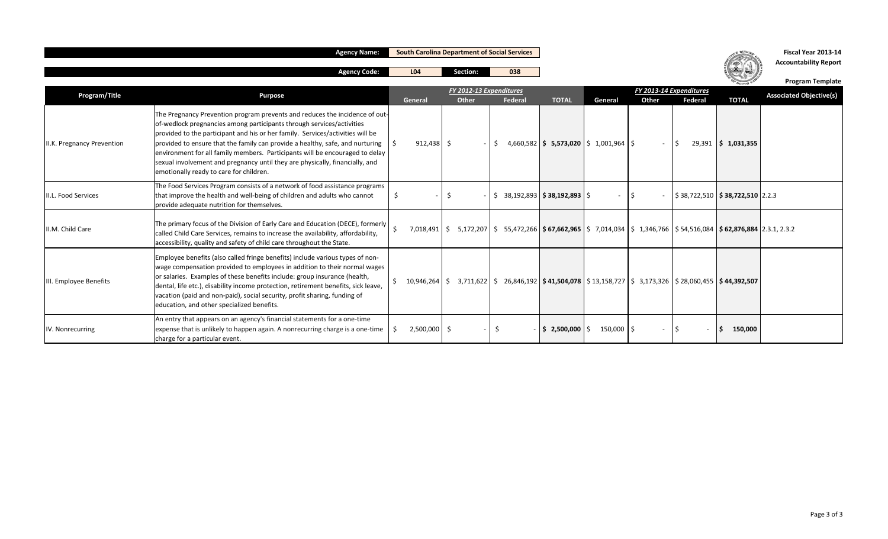|                            | <b>Agency Name:</b>                                                                                                                                                                                                                                                                                                                                                                                                                                                                                                                | <b>South Carolina Department of Social Services</b> |                |                                                                                                                                          |     |                |                                                                                                                            |             |                                  |         |                                                        | Fiscal Year 2013-14<br><b>Accountability Report</b> |
|----------------------------|------------------------------------------------------------------------------------------------------------------------------------------------------------------------------------------------------------------------------------------------------------------------------------------------------------------------------------------------------------------------------------------------------------------------------------------------------------------------------------------------------------------------------------|-----------------------------------------------------|----------------|------------------------------------------------------------------------------------------------------------------------------------------|-----|----------------|----------------------------------------------------------------------------------------------------------------------------|-------------|----------------------------------|---------|--------------------------------------------------------|-----------------------------------------------------|
|                            | <b>Agency Code:</b>                                                                                                                                                                                                                                                                                                                                                                                                                                                                                                                | L04                                                 |                | Section:                                                                                                                                 |     | 038            |                                                                                                                            |             |                                  |         |                                                        | <b>Program Template</b>                             |
| Program/Title              | <b>Purpose</b>                                                                                                                                                                                                                                                                                                                                                                                                                                                                                                                     | General                                             |                | FY 2012-13 Expenditures<br>Other                                                                                                         |     | <b>Federal</b> | <b>TOTAL</b>                                                                                                               | General     | FY 2013-14 Expenditures<br>Other | Federal | <b>TOTAL</b>                                           | <b>Associated Objective(s)</b>                      |
| II.K. Pregnancy Prevention | The Pregnancy Prevention program prevents and reduces the incidence of out-<br>of-wedlock pregnancies among participants through services/activities<br>provided to the participant and his or her family. Services/activities will be<br>provided to ensure that the family can provide a healthy, safe, and nurturing<br>environment for all family members. Participants will be encouraged to delay<br>sexual involvement and pregnancy until they are physically, financially, and<br>emotionally ready to care for children. |                                                     | $912,438$ \$   |                                                                                                                                          | S.  |                | $4,660,582$   \$ 5,573,020   \$ 1,001,964   \$                                                                             |             | $\overline{\phantom{a}}$         |         | 29,391   \$1,031,355                                   |                                                     |
| II.L. Food Services        | The Food Services Program consists of a network of food assistance programs<br>that improve the health and well-being of children and adults who cannot<br>provide adequate nutrition for themselves.                                                                                                                                                                                                                                                                                                                              | \$                                                  |                | -\$                                                                                                                                      |     |                | $\frac{1}{2}$ 38,192,893   \$38,192,893   \$                                                                               |             | l S                              |         | $\frac{1}{2}$ \$ 38,722,510 <b>\$ 38,722,510</b> 2.2.3 |                                                     |
| II.M. Child Care           | The primary focus of the Division of Early Care and Education (DECE), formerly<br>called Child Care Services, remains to increase the availability, affordability,<br>accessibility, quality and safety of child care throughout the State.                                                                                                                                                                                                                                                                                        |                                                     | 7,018,491 \$   |                                                                                                                                          |     |                | $5,172,207$   \$ $55,472,266$   \$ 67,662,965   \$ 7,014,034   \$ 1,346,766   \$ 54,516,084   \$ 62,876,884   2.3.1, 2.3.2 |             |                                  |         |                                                        |                                                     |
| III. Employee Benefits     | Employee benefits (also called fringe benefits) include various types of non-<br>wage compensation provided to employees in addition to their normal wages<br>or salaries. Examples of these benefits include: group insurance (health,<br>dental, life etc.), disability income protection, retirement benefits, sick leave,<br>vacation (paid and non-paid), social security, profit sharing, funding of<br>education, and other specialized benefits.                                                                           |                                                     |                | $10,946,264$   \$ $3,711,622$   \$ $26,846,192$   \$ $41,504,078$   \$ $13,158,727$   \$ $3,173,326$   \$ $28,060,455$   \$ $44,392,507$ |     |                |                                                                                                                            |             |                                  |         |                                                        |                                                     |
| IV. Nonrecurring           | An entry that appears on an agency's financial statements for a one-time<br>expense that is unlikely to happen again. A nonrecurring charge is a one-time<br>charge for a particular event.                                                                                                                                                                                                                                                                                                                                        |                                                     | $2,500,000$ \$ |                                                                                                                                          | -\$ |                | $\sin 2,500,000$ $\sin 5$                                                                                                  | $150,000$ S |                                  |         | 150,000                                                |                                                     |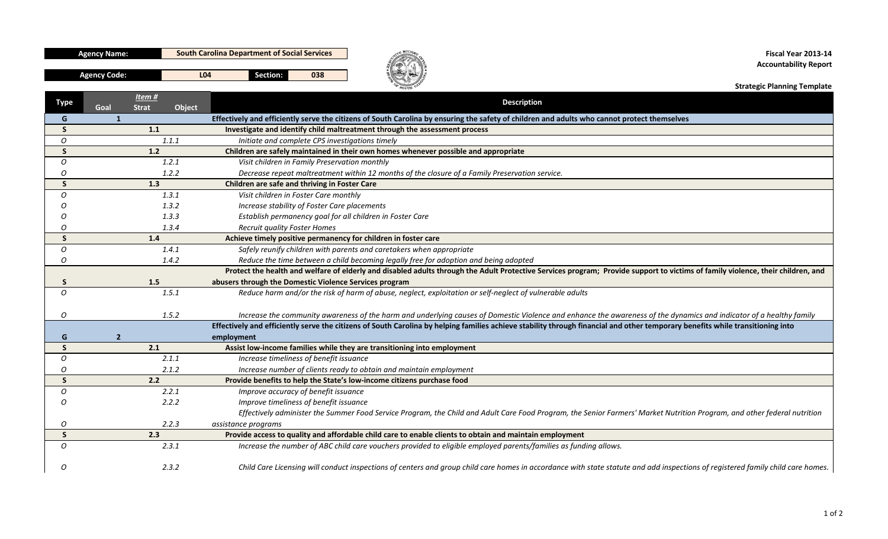| A | r.<br>٠ |              | 1 | v | ٦<br>N |         |             |
|---|---------|--------------|---|---|--------|---------|-------------|
| V |         | ī.<br>ï<br>T |   |   | I      | r<br>τ. | ï<br>ſ<br>n |

**Agency Name: South Carolina Department of Social Services**

**Section: 038 Agency Code: L04**



**Fiscal Year 2013‐14 Accountability Report**

**Strategic Planning Template**

| Type         | Item#<br><b>Strat</b><br>Object<br>Goal | <b>Description</b>                                                                                                                                                              |
|--------------|-----------------------------------------|---------------------------------------------------------------------------------------------------------------------------------------------------------------------------------|
| G            | $\mathbf{1}$                            | Effectively and efficiently serve the citizens of South Carolina by ensuring the safety of children and adults who cannot protect themselves                                    |
| S.           | 1.1                                     | Investigate and identify child maltreatment through the assessment process                                                                                                      |
| 0            | 1.1.1                                   | Initiate and complete CPS investigations timely                                                                                                                                 |
| $\mathsf{S}$ | 1.2                                     | Children are safely maintained in their own homes whenever possible and appropriate                                                                                             |
| $\Omega$     | 1.2.1                                   | Visit children in Family Preservation monthly                                                                                                                                   |
| Ω            | 1.2.2                                   | Decrease repeat maltreatment within 12 months of the closure of a Family Preservation service.                                                                                  |
| <sub>S</sub> | 1.3                                     | Children are safe and thriving in Foster Care                                                                                                                                   |
| O            | 1.3.1                                   | Visit children in Foster Care monthly                                                                                                                                           |
| ∩            | 1.3.2                                   | Increase stability of Foster Care placements                                                                                                                                    |
| ∩            | 1.3.3                                   | Establish permanency goal for all children in Foster Care                                                                                                                       |
| O            | 1.3.4                                   | <b>Recruit quality Foster Homes</b>                                                                                                                                             |
| $\mathsf{S}$ | 1.4                                     | Achieve timely positive permanency for children in foster care                                                                                                                  |
| O            | 1.4.1                                   | Safely reunify children with parents and caretakers when appropriate                                                                                                            |
| 0            | 1.4.2                                   | Reduce the time between a child becoming legally free for adoption and being adopted                                                                                            |
|              |                                         | Protect the health and welfare of elderly and disabled adults through the Adult Protective Services program; Provide support to victims of family violence, their children, and |
| S.           | 1.5                                     | abusers through the Domestic Violence Services program                                                                                                                          |
| O            | 1.5.1                                   | Reduce harm and/or the risk of harm of abuse, neglect, exploitation or self-neglect of vulnerable adults                                                                        |
|              |                                         |                                                                                                                                                                                 |
| Ο            | 1.5.2                                   | Increase the community awareness of the harm and underlying causes of Domestic Violence and enhance the awareness of the dynamics and indicator of a healthy family             |
|              |                                         | Effectively and efficiently serve the citizens of South Carolina by helping families achieve stability through financial and other temporary benefits while transitioning into  |
| G            | $\overline{2}$                          | employment                                                                                                                                                                      |
| <sub>S</sub> | 2.1                                     | Assist low-income families while they are transitioning into employment                                                                                                         |
| 0            | 2.1.1                                   | Increase timeliness of benefit issuance                                                                                                                                         |
| Ω            | 2.1.2                                   | Increase number of clients ready to obtain and maintain employment                                                                                                              |
| $\mathsf{S}$ | 2.2                                     | Provide benefits to help the State's low-income citizens purchase food                                                                                                          |
| 0            | 2.2.1                                   | Improve accuracy of benefit issuance                                                                                                                                            |
| O            | 2.2.2                                   | Improve timeliness of benefit issuance                                                                                                                                          |
|              |                                         | Effectively administer the Summer Food Service Program, the Child and Adult Care Food Program, the Senior Farmers' Market Nutrition Program, and other federal nutrition        |
| 0            | 2.2.3                                   | assistance programs                                                                                                                                                             |
| $\mathsf{S}$ | 2.3                                     | Provide access to quality and affordable child care to enable clients to obtain and maintain employment                                                                         |
| $\Omega$     | 2.3.1                                   | Increase the number of ABC child care vouchers provided to eligible employed parents/families as funding allows.                                                                |
|              |                                         |                                                                                                                                                                                 |
| Ω            | 2.3.2                                   | Child Care Licensing will conduct inspections of centers and group child care homes in accordance with state statute and add inspections of registered family child care homes. |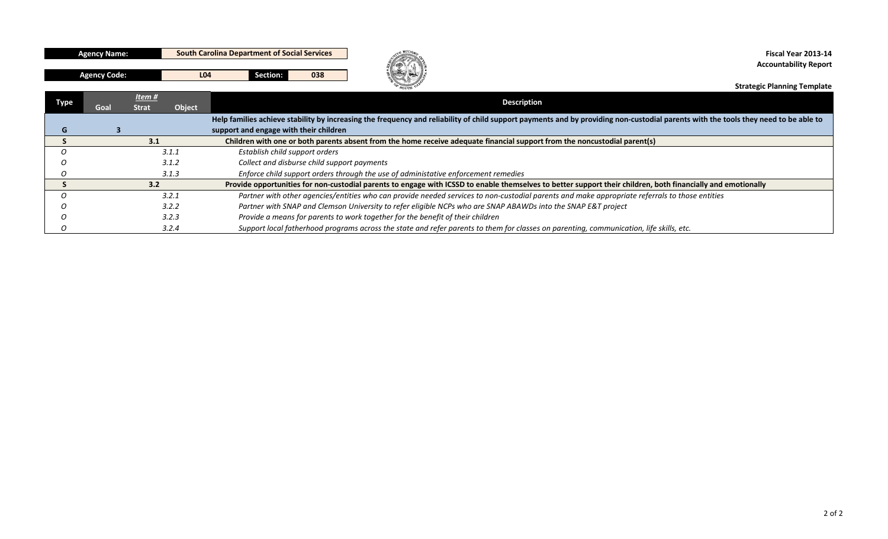| ı<br>۵<br>٦ |   |             |   |   | ١ |   |   |
|-------------|---|-------------|---|---|---|---|---|
|             | I | ľ<br>۱<br>I | ٢ | v | N | ۰ | H |
|             |   |             |   |   |   |   |   |

**Agency Name: South Carolina Department of Social Services**

**Section: 038 Agency Code: L04**



**Fiscal Year 2013‐14 Accountability Report**

**Strategic Planning Template**

| Type | <u>Item #</u><br>Object<br>Goal<br><b>Strat</b> | <b>Description</b>                                                                                                                                                                  |
|------|-------------------------------------------------|-------------------------------------------------------------------------------------------------------------------------------------------------------------------------------------|
|      |                                                 | Help families achieve stability by increasing the frequency and reliability of child support payments and by providing non-custodial parents with the tools they need to be able to |
|      |                                                 | support and engage with their children                                                                                                                                              |
|      | 3.1                                             | Children with one or both parents absent from the home receive adequate financial support from the noncustodial parent(s)                                                           |
|      | 3.1.1                                           | Establish child support orders                                                                                                                                                      |
|      | 3.1.2                                           | Collect and disburse child support payments                                                                                                                                         |
|      | 3.1.3                                           | Enforce child support orders through the use of administative enforcement remedies                                                                                                  |
|      | 3.2                                             | Provide opportunities for non-custodial parents to engage with ICSSD to enable themselves to better support their children, both financially and emotionally                        |
|      | 3.2.1                                           | Partner with other agencies/entities who can provide needed services to non-custodial parents and make appropriate referrals to those entities                                      |
|      | 3.2.2                                           | Partner with SNAP and Clemson University to refer eligible NCPs who are SNAP ABAWDs into the SNAP E&T project                                                                       |
|      | 3.2.3                                           | Provide a means for parents to work together for the benefit of their children                                                                                                      |
|      | 3.2.4                                           | Support local fatherhood programs across the state and refer parents to them for classes on parenting, communication, life skills, etc.                                             |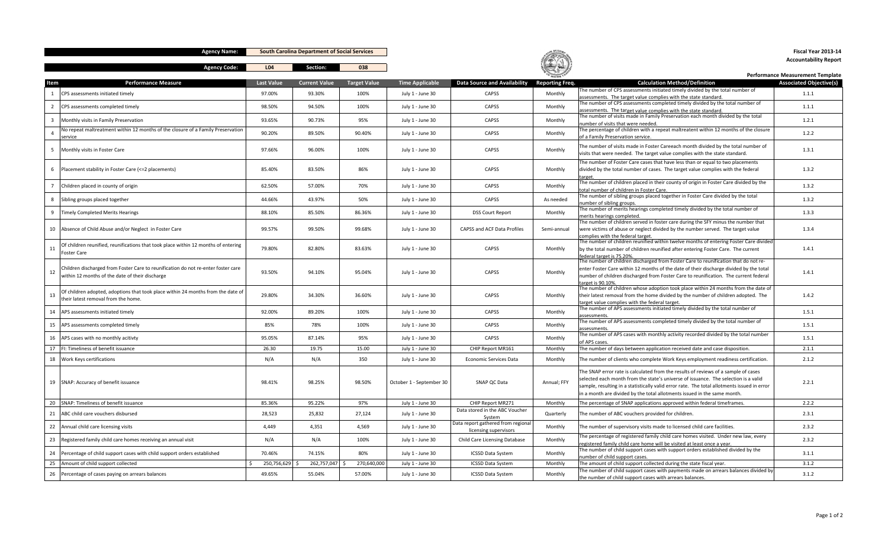**Agency Name:**

**South Carolina Department of Social Services**

**Agency Code: L04 Section: 038**



**Fiscal Year 2013‐14Accountability Report**

|                         |                                                                                    |                   |                      |                     |                          |                                     | OF SOUTH CAN           |                                                                                                                                                             | Performance Measurement Template |
|-------------------------|------------------------------------------------------------------------------------|-------------------|----------------------|---------------------|--------------------------|-------------------------------------|------------------------|-------------------------------------------------------------------------------------------------------------------------------------------------------------|----------------------------------|
| Item                    | <b>Performance Measure</b>                                                         | <b>Last Value</b> | <b>Current Value</b> | <b>Target Value</b> | <b>Time Applicable</b>   | <b>Data Source and Availability</b> | <b>Reporting Freq.</b> | <b>Calculation Method/Definition</b>                                                                                                                        | <b>Associated Objective(s)</b>   |
|                         |                                                                                    | 97.00%            | 93.30%               |                     |                          | CAPSS                               |                        | he number of CPS assessments initiated timely divided by the total number of                                                                                |                                  |
| $\mathbf{1}$            | CPS assessments initiated timely                                                   |                   |                      | 100%                | July 1 - June 30         |                                     | Monthly                | assessments. The target value complies with the state standard                                                                                              | 1.1.1                            |
| $\overline{2}$          | CPS assessments completed timely                                                   | 98.50%            | 94.50%               | 100%                | July 1 - June 30         | CAPSS                               | Monthly                | The number of CPS assessments completed timely divided by the total number of                                                                               | 1.1.1                            |
|                         |                                                                                    |                   |                      |                     |                          |                                     |                        | ssessments. The target value complies with the state standard                                                                                               |                                  |
| $\overline{\mathbf{3}}$ | Monthly visits in Family Preservation                                              | 93.65%            | 90.73%               | 95%                 | July 1 - June 30         | CAPSS                               | Monthly                | he number of visits made in Family Preservation each month divided by the total                                                                             | 1.2.1                            |
|                         | No repeat maltreatment within 12 months of the closure of a Family Preservation    |                   |                      |                     |                          |                                     |                        | number of visits that were needed.<br>The percentage of children with a repeat maltreatent within 12 months of the closure                                  |                                  |
| $\mathbf{A}$            | service                                                                            | 90.20%            | 89.50%               | 90.40%              | July 1 - June 30         | CAPSS                               | Monthly                | of a Family Preservation service.                                                                                                                           | 1.2.2                            |
|                         |                                                                                    |                   |                      |                     |                          |                                     |                        |                                                                                                                                                             |                                  |
| 5                       | Monthly visits in Foster Care                                                      | 97.66%            | 96.00%               | 100%                | July 1 - June 30         | CAPSS                               | Monthly                | The number of visits made in Foster Careeach month divided by the total number of                                                                           | 1.3.1                            |
|                         |                                                                                    |                   |                      |                     |                          |                                     |                        | visits that were needed. The target value complies with the state standard.                                                                                 |                                  |
|                         |                                                                                    |                   |                      |                     |                          |                                     |                        | The number of Foster Care cases that have less than or equal to two placements                                                                              |                                  |
| 6                       | Placement stability in Foster Care (<=2 placements)                                | 85.40%            | 83.50%               | 86%                 | July 1 - June 30         | CAPSS                               | Monthly                | divided by the total number of cases. The target value complies with the federal                                                                            | 1.3.2                            |
|                         |                                                                                    |                   |                      |                     |                          |                                     |                        |                                                                                                                                                             |                                  |
| $7\overline{ }$         | Children placed in county of origin                                                | 62.50%            | 57.00%               | 70%                 | July 1 - June 30         | CAPSS                               | Monthly                | The number of children placed in their county of origin in Foster Care divided by the<br>otal number of children in Foster Care.                            | 1.3.2                            |
|                         |                                                                                    |                   |                      |                     |                          |                                     |                        | The number of sibling groups placed together in Foster Care divided by the total                                                                            |                                  |
| 8                       | Sibling groups placed together                                                     | 44.66%            | 43.97%               | 50%                 | July 1 - June 30         | CAPSS                               | As needed              | umber of sibling groups                                                                                                                                     | 1.3.2                            |
|                         |                                                                                    |                   |                      |                     |                          |                                     |                        | The number of merits hearings completed timely divided by the total number of                                                                               |                                  |
| 9                       | <b>Timely Completed Merits Hearings</b>                                            | 88.10%            | 85.50%               | 86.36%              | July 1 - June 30         | <b>DSS Court Report</b>             | Monthly                | nerits hearings completed                                                                                                                                   | 1.3.3                            |
|                         |                                                                                    |                   |                      |                     |                          |                                     |                        | The number of children served in foster care during the SFY minus the number that                                                                           |                                  |
| 10                      | Absence of Child Abuse and/or Neglect in Foster Care                               | 99.57%            | 99.50%               | 99.68%              | July 1 - June 30         | CAPSS and ACF Data Profiles         | Semi-annual            | were victims of abuse or neglect divided by the number served. The target value                                                                             | 1.3.4                            |
|                         |                                                                                    |                   |                      |                     |                          |                                     |                        | omplies with the federal target                                                                                                                             |                                  |
| 11                      | Of children reunified, reunifications that took place within 12 months of entering |                   | 82.80%               |                     |                          |                                     |                        | The number of children reunified within twelve months of entering Foster Care divided                                                                       | 1.4.1                            |
|                         | <b>Foster Care</b>                                                                 | 79.80%            |                      | 83.63%              | July 1 - June 30         | CAPSS                               | Monthly                | by the total number of children reunified after entering Foster Care. The current<br>federal target is 75.20%                                               |                                  |
|                         |                                                                                    |                   |                      |                     |                          |                                     |                        | The number of children discharged from Foster Care to reunification that do not re-                                                                         |                                  |
|                         | Children discharged from Foster Care to reunification do not re-enter foster care  |                   |                      |                     |                          |                                     |                        | enter Foster Care within 12 months of the date of their discharge divided by the total                                                                      |                                  |
| 12                      | within 12 months of the date of their discharge                                    | 93.50%            | 94.10%               | 95.04%              | July 1 - June 30         | CAPSS                               | Monthly                | number of children discharged from Foster Care to reunification. The current federal                                                                        | 1.4.1                            |
|                         |                                                                                    |                   |                      |                     |                          |                                     |                        | target is 90.10%                                                                                                                                            |                                  |
|                         | Of children adopted, adoptions that took place within 24 months from the date of   |                   |                      |                     |                          |                                     |                        | The number of children whose adoption took place within 24 months from the date of                                                                          |                                  |
| 13                      | their latest removal from the home.                                                | 29.80%            | 34.30%               | 36.60%              | July 1 - June 30         | CAPSS                               | Monthly                | their latest removal from the home divided by the number of children adopted. The                                                                           | 1.4.2                            |
|                         |                                                                                    |                   |                      |                     |                          |                                     |                        | arget value complies with the federal target                                                                                                                |                                  |
| 14                      | APS assessments initiated timely                                                   | 92.00%            | 89.20%               | 100%                | July 1 - June 30         | CAPSS                               | Monthly                | The number of APS assessments initiated timely divided by the total number of<br>ssessment                                                                  | 1.5.1                            |
|                         |                                                                                    |                   |                      |                     |                          |                                     |                        | The number of APS assessments completed timely divided by the total number of                                                                               |                                  |
| 15                      | APS assessments completed timely                                                   | 85%               | 78%                  | 100%                | July 1 - June 30         | CAPSS                               | Monthly                | issessment:                                                                                                                                                 | 1.5.1                            |
| 16                      | APS cases with no monthly acitivty                                                 | 95.05%            | 87.14%               | 95%                 | July 1 - June 30         | CAPSS                               | Monthly                | The number of APS cases with monthly activity recorded divided by the total number                                                                          | 1.5.1                            |
|                         |                                                                                    |                   |                      |                     |                          |                                     |                        | of APS cases                                                                                                                                                |                                  |
| 17                      | FI: Timeliness of benefit issuance                                                 | 26.30             | 19.75                | 15.00               | July 1 - June 30         | CHIP Report MR161                   | Monthly                | The number of days between application received date and case disposition                                                                                   | 2.1.1                            |
| 18                      | Work Keys certifications                                                           | N/A               | N/A                  | 350                 | July 1 - June 30         | Economic Services Data              | Monthly                | The number of clients who complete Work Keys employment readiness certification.                                                                            | 2.1.2                            |
|                         |                                                                                    |                   |                      |                     |                          |                                     |                        |                                                                                                                                                             |                                  |
|                         |                                                                                    |                   |                      |                     |                          |                                     |                        | The SNAP error rate is calculated from the results of reviews of a sample of cases                                                                          |                                  |
| 19                      | SNAP: Accuracy of benefit issuance                                                 | 98.41%            | 98.25%               | 98.50%              | October 1 - September 30 | SNAP QC Data                        | Annual; FFY            | selected each month from the state's universe of issuance. The selection is a valid                                                                         | 2.2.1                            |
|                         |                                                                                    |                   |                      |                     |                          |                                     |                        | sample, resulting in a statistically valid error rate. The total allotments issued in error                                                                 |                                  |
|                         |                                                                                    |                   |                      |                     |                          |                                     |                        | in a month are divided by the total allotments issued in the same month.                                                                                    |                                  |
| 20                      | SNAP: Timeliness of benefit issuance                                               | 85.36%            | 95.22%               | 97%                 | July 1 - June 30         | CHIP Report MR271                   | Monthly                | The percentage of SNAP applications approved within federal timeframes.                                                                                     | 2.2.2                            |
| 21                      | ABC child care vouchers disbursed                                                  | 28,523            | 25,832               | 27,124              | July 1 - June 30         | Data stored in the ABC Voucher      | Quarterly              | The number of ABC vouchers provided for children                                                                                                            | 2.3.1                            |
|                         |                                                                                    |                   |                      |                     |                          | System                              |                        |                                                                                                                                                             |                                  |
| 22                      | Annual child care licensing visits                                                 | 4,449             | 4,351                | 4,569               | July 1 - June 30         | Data report gathered from regiona   | Monthly                | The number of supervisory visits made to licensed child care facilities.                                                                                    | 2.3.2                            |
|                         |                                                                                    |                   |                      |                     |                          | licensing supervisors               |                        |                                                                                                                                                             |                                  |
| 23                      | Registered family child care homes receiving an annual visit                       | N/A               | N/A                  | 100%                | July 1 - June 30         | Child Care Licensing Database       | Monthly                | The percentage of registered family child care homes visited. Under new law, every<br>egistered family child care home will be visited at least once a year | 2.3.2                            |
|                         |                                                                                    |                   |                      |                     |                          |                                     |                        | The number of child support cases with support orders established divided by the                                                                            |                                  |
| 24                      | Percentage of child support cases with child support orders established            | 70.46%            | 74.15%               | 80%                 | July 1 - June 30         | <b>ICSSD Data System</b>            | Monthly                | number of child support cases.                                                                                                                              | 3.1.1                            |
| 25                      | Amount of child support collected                                                  | 250,756,629       | 262,757,047          | 270,640,000         | July 1 - June 30         | <b>ICSSD Data System</b>            | Monthly                | The amount of child support collected during the state fiscal year.                                                                                         | 3.1.2                            |
|                         |                                                                                    |                   |                      |                     |                          |                                     |                        | The number of child support cases with payments made on arrears balances divided by                                                                         |                                  |
| 26                      | Percentage of cases paying on arrears balances                                     | 49.65%            | 55.04%               | 57.00%              | July 1 - June 30         | <b>ICSSD Data System</b>            | Monthly                | the number of child support cases with arrears balances.                                                                                                    | 3.1.2                            |